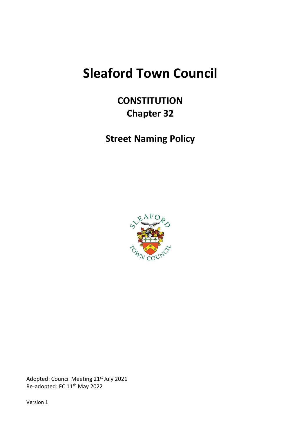# **Sleaford Town Council**

## **CONSTITUTION Chapter 32**

**Street Naming Policy**



Adopted: Council Meeting 21st July 2021 Re-adopted: FC 11<sup>th</sup> May 2022

Version 1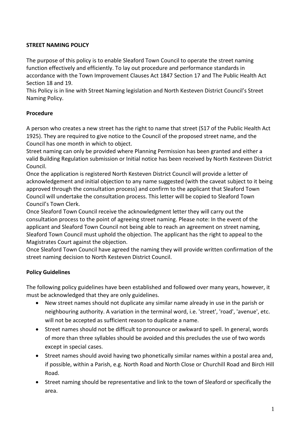#### **STREET NAMING POLICY**

The purpose of this policy is to enable Sleaford Town Council to operate the street naming function effectively and efficiently. To lay out procedure and performance standards in accordance with the Town Improvement Clauses Act 1847 Section 17 and The Public Health Act Section 18 and 19.

This Policy is in line with Street Naming legislation and North Kesteven District Council's Street Naming Policy.

#### **Procedure**

A person who creates a new street has the right to name that street (S17 of the Public Health Act 1925). They are required to give notice to the Council of the proposed street name, and the Council has one month in which to object.

Street naming can only be provided where Planning Permission has been granted and either a valid Building Regulation submission or Initial notice has been received by North Kesteven District Council.

Once the application is registered North Kesteven District Council will provide a letter of acknowledgement and initial objection to any name suggested (with the caveat subject to it being approved through the consultation process) and confirm to the applicant that Sleaford Town Council will undertake the consultation process. This letter will be copied to Sleaford Town Council's Town Clerk.

Once Sleaford Town Council receive the acknowledgment letter they will carry out the consultation process to the point of agreeing street naming. Please note: In the event of the applicant and Sleaford Town Council not being able to reach an agreement on street naming, Sleaford Town Council must uphold the objection. The applicant has the right to appeal to the Magistrates Court against the objection.

Once Sleaford Town Council have agreed the naming they will provide written confirmation of the street naming decision to North Kesteven District Council.

### **Policy Guidelines**

The following policy guidelines have been established and followed over many years, however, it must be acknowledged that they are only guidelines.

- New street names should not duplicate any similar name already in use in the parish or neighbouring authority. A variation in the terminal word, i.e. 'street', 'road', 'avenue', etc. will not be accepted as sufficient reason to duplicate a name.
- Street names should not be difficult to pronounce or awkward to spell. In general, words of more than three syllables should be avoided and this precludes the use of two words except in special cases.
- Street names should avoid having two phonetically similar names within a postal area and, if possible, within a Parish, e.g. North Road and North Close or Churchill Road and Birch Hill Road.
- Street naming should be representative and link to the town of Sleaford or specifically the area.